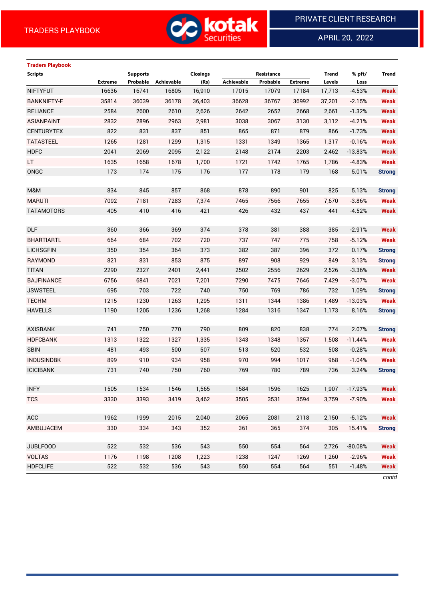

APRIL 20, 2022

 $\overline{a}$ 

# **Traders Playbook Scripts Supports Closings Resistance Trend % pft/ Trend Extreme Probable Achievable (Rs) Achievable Probable Extreme Levels Loss** NIFTYFUT 16636 16741 16805 16,910 17015 17079 17184 17,713 -4.53% **Weak** BANKNIFTY-F 35814 36039 36178 36,403 36628 36767 36992 37,201 -2.15% **Weak** RELIANCE 2584 2600 2610 2,626 2642 2652 2668 2,661 -1.32% **Weak** ASIANPAINT 2832 2896 2963 2,981 3038 3067 3130 3,112 -4.21% **Weak** CENTURYTEX 822 831 837 851 865 871 879 866 -1.73% **Weak** TATASTEEL 1265 1281 1299 1,315 1331 1349 1365 1,317 -0.16% **Weak** HDFC 2041 2069 2095 2,122 2148 2174 2203 2,462 -13.83% **Weak** LT 1635 1658 1678 1,700 1721 1742 1765 1,786 -4.83% **Weak** ONGC 173 174 175 176 177 178 179 168 5.01% **Strong** M&M 834 845 857 868 878 890 901 825 5.13% **Strong** MARUTI 7092 7181 7283 7,374 7465 7566 7655 7,670 -3.86% **Weak** TATAMOTORS 405 410 416 421 426 432 437 441 -4.52% **Weak** DLF 360 366 369 374 378 381 388 385 -2.91% **Weak** BHARTIARTL 664 684 702 720 737 747 775 758 -5.12% **Weak** LICHSGFIN 350 354 364 373 382 387 396 372 0.17% **Strong** RAYMOND 821 831 853 875 897 908 929 849 3.13% **Strong** TITAN 2290 2327 2401 2,441 2502 2556 2629 2,526 -3.36% **Weak** BAJFINANCE 6756 6841 7021 7,201 7290 7475 7646 7,429 -3.07% **Weak** JSWSTEEL 695 703 722 740 750 769 786 732 1.09% **Strong** TECHM 1215 1230 1263 1,295 1311 1344 1386 1,489 -13.03% **Weak** HAVELLS 1190 1205 1236 1,268 1284 1316 1347 1,173 8.16% **Strong** AXISBANK 741 750 770 790 809 820 838 774 2.07% **Strong** HDFCBANK 1313 1322 1327 1,335 1343 1348 1357 1,508 -11.44% **Weak** SBIN 481 493 500 507 513 520 532 508 -0.28% **Weak** INDUSINDBK 899 910 934 958 970 994 1017 968 -1.04% **Weak** ICICIBANK 731 740 750 760 769 780 789 736 3.24% **Strong** INFY 1505 1534 1546 1,565 1584 1596 1625 1,907 -17.93% **Weak** TCS 3330 3393 3419 3,462 3505 3531 3594 3,759 -7.90% **Weak** ACC 1962 1999 2015 2,040 2065 2081 2118 2,150 -5.12% **Weak** AMBUJACEM 330 334 343 352 361 365 374 305 15.41% **Strong** JUBLFOOD 522 532 536 543 550 554 564 2,726 -80.08% **Weak** VOLTAS 1176 1198 1208 1,223 1238 1247 1269 1,260 -2.96% **Weak** HDFCLIFE 522 532 536 543 550 554 564 551 -1.48% **Weak**

*contd*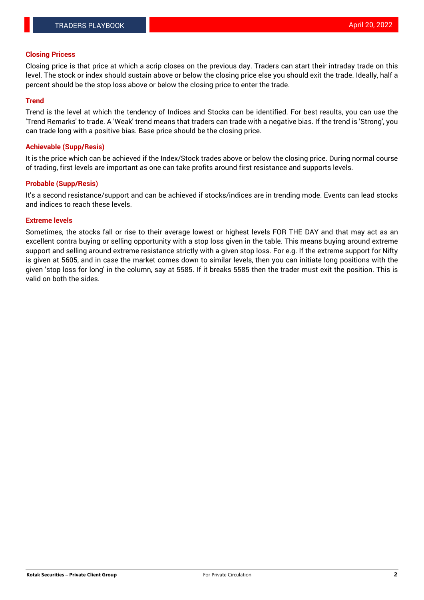#### **Closing Pricess**

Closing price is that price at which a scrip closes on the previous day. Traders can start their intraday trade on this level. The stock or index should sustain above or below the closing price else you should exit the trade. Ideally, half a percent should be the stop loss above or below the closing price to enter the trade.

#### **Trend**

Trend is the level at which the tendency of Indices and Stocks can be identified. For best results, you can use the 'Trend Remarks' to trade. A 'Weak' trend means that traders can trade with a negative bias. If the trend is 'Strong', you can trade long with a positive bias. Base price should be the closing price.

#### **Achievable (Supp/Resis)**

It is the price which can be achieved if the Index/Stock trades above or below the closing price. During normal course of trading, first levels are important as one can take profits around first resistance and supports levels.

## **Probable (Supp/Resis)**

It's a second resistance/support and can be achieved if stocks/indices are in trending mode. Events can lead stocks and indices to reach these levels.

#### **Extreme levels**

Sometimes, the stocks fall or rise to their average lowest or highest levels FOR THE DAY and that may act as an excellent contra buying or selling opportunity with a stop loss given in the table. This means buying around extreme support and selling around extreme resistance strictly with a given stop loss. For e.g. If the extreme support for Nifty is given at 5605, and in case the market comes down to similar levels, then you can initiate long positions with the given 'stop loss for long' in the column, say at 5585. If it breaks 5585 then the trader must exit the position. This is valid on both the sides.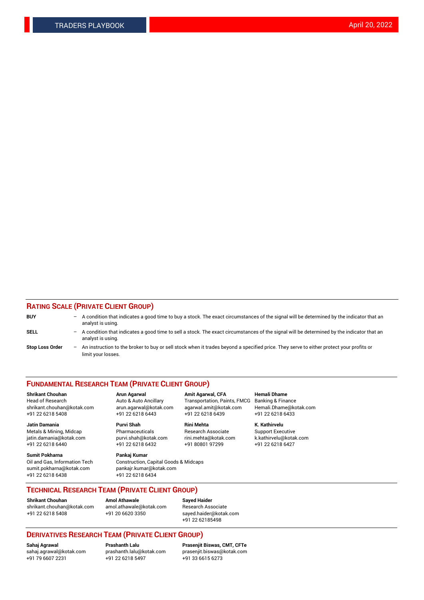## **RATING SCALE (PRIVATE CLIENT GROUP)**

| <b>BUY</b>             | -                 | A condition that indicates a good time to buy a stock. The exact circumstances of the signal will be determined by the indicator that an<br>analyst is using.  |
|------------------------|-------------------|----------------------------------------------------------------------------------------------------------------------------------------------------------------|
| SELL                   | -                 | A condition that indicates a good time to sell a stock. The exact circumstances of the signal will be determined by the indicator that an<br>analyst is using. |
| <b>Stop Loss Order</b> | $\qquad \qquad -$ | An instruction to the broker to buy or sell stock when it trades beyond a specified price. They serve to either protect your profits or<br>limit your losses.  |

#### **FUNDAMENTAL RESEARCH TEAM (PRIVATE CLIENT GROUP)**

**Shrikant Chouhan Arun Agarwal Amit Agarwal, CFA Hemali Dhame** Head of Research Auto & Auto Ancillary Transportation, Paints, FMCG Banking & Finance shrikant.chouhan@kotak.com arun.agarwal@kotak.com agarwal.amit@kotak.com Hemali.Dhame@kotak.com

**Jatin Damania Purvi Shah Rini Mehta K. Kathirvelu** Metals & Mining, Midcap **Pharmaceuticals** Research Associate Support Executive jatin.damania@kotak.com [purvi.shah@kotak.com](mailto:purvi.shah@kotak.com) rini.mehta@kotak.com [k.kathirvelu@kotak.com](mailto:k.kathirvelu@kotak.com)  $+91$  22 6218 6440  $+91$  22 6218 6432

**Sumit Pokharna Pankaj Kumar** sumit.pokharna@kotak.com pankajr.kumar@kotak.com +91 22 6218 6438 +91 22 6218 6434

Oil and Gas, Information Tech Construction, Capital Goods & Midcaps

+91 22 6218 5408 +91 22 6218 6443 +91 22 6218 6439 +91 22 6218 6433

**TECHNICAL RESEARCH TEAM (PRIVATE CLIENT GROUP)**

[shrikant.chouhan@kotak.com](mailto:shrikant.chouhan@kotak.com) [amol.athawale@kotak.com](mailto:amol.athawale@kotak.com) Research Associate +91 22 6218 5408 +91 20 6620 3350 [sayed.haider@kotak.com](mailto:sayed.haider@kotak.com)

**Shrikant Chouhan Amol Athawale Sayed Haider**

+91 22 62185498

# **DERIVATIVES RESEARCH TEAM (PRIVATE CLIENT GROUP)**

 $+91$  22 6218 5497

**Sahaj Agrawal Prashanth Lalu Prasenjit Biswas, CMT, CFTe** [sahaj.agrawal@kotak.com](mailto:sahaj.agrawal@kotak.com) [prashanth.lalu@kotak.com](mailto:prashanth.lalu@kotak.com) [prasenjit.biswas@kotak.com](mailto:prasenjit.biswas@kotak.com)